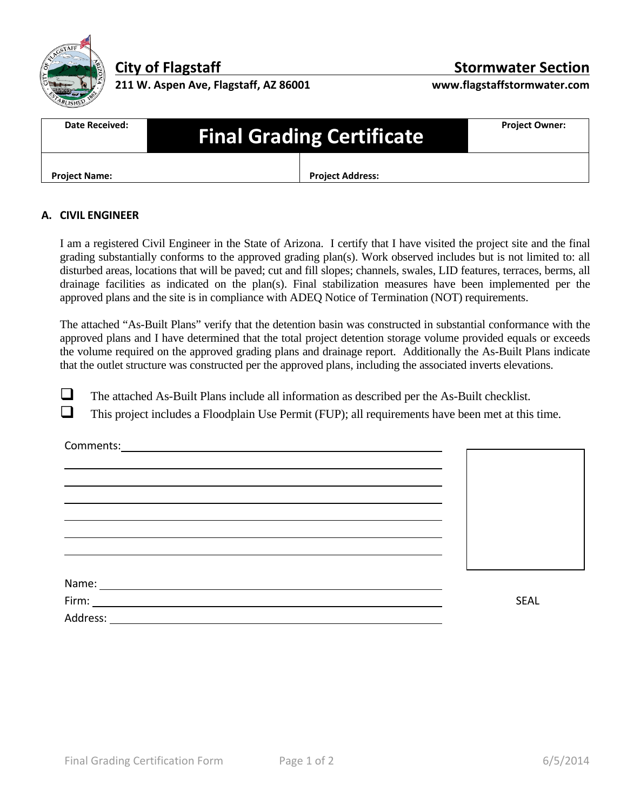

**211 W. Aspen Ave, Flagstaff, AZ 86001 www.flagstaffstormwater.com**

## **City of Flagstaff Stormwater Section**

| Date Received:       | <b>Final Grading Certificate</b> |                         | <b>Project Owner:</b> |
|----------------------|----------------------------------|-------------------------|-----------------------|
| <b>Project Name:</b> |                                  | <b>Project Address:</b> |                       |

## **A. CIVIL ENGINEER**

 I am a registered Civil Engineer in the State of Arizona. I certify that I have visited the project site and the final grading substantially conforms to the approved grading plan(s). Work observed includes but is not limited to: all disturbed areas, locations that will be paved; cut and fill slopes; channels, swales, LID features, terraces, berms, all drainage facilities as indicated on the plan(s). Final stabilization measures have been implemented per the approved plans and the site is in compliance with ADEQ Notice of Termination (NOT) requirements.

 The attached "As-Built Plans" verify that the detention basin was constructed in substantial conformance with the approved plans and I have determined that the total project detention storage volume provided equals or exceeds the volume required on the approved grading plans and drainage report. Additionally the As-Built Plans indicate that the outlet structure was constructed per the approved plans, including the associated inverts elevations.

The attached As-Built Plans include all information as described per the As-Built checklist.

<u> 1980 - Johann Barn, amerikan besteman besteman besteman besteman besteman besteman besteman besteman bestema</u>

<u> 1980 - Johann Barn, mars an t-Amerikaansk politiker (\* 1950)</u>

 $\Box$  This project includes a Floodplain Use Permit (FUP); all requirements have been met at this time.

Comments:

| Name:    |  |      |
|----------|--|------|
| Firm:    |  | SEAL |
| Address: |  |      |